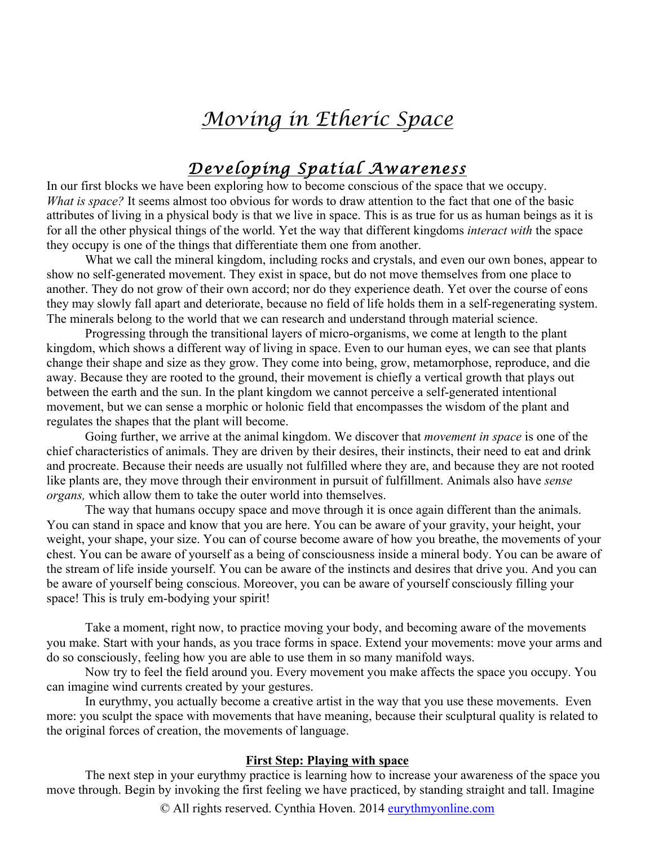# *Moving in Etheric Space*

# *Developing Spatial Awareness*

In our first blocks we have been exploring how to become conscious of the space that we occupy. *What is space?* It seems almost too obvious for words to draw attention to the fact that one of the basic attributes of living in a physical body is that we live in space. This is as true for us as human beings as it is for all the other physical things of the world. Yet the way that different kingdoms *interact with* the space they occupy is one of the things that differentiate them one from another.

What we call the mineral kingdom, including rocks and crystals, and even our own bones, appear to show no self-generated movement. They exist in space, but do not move themselves from one place to another. They do not grow of their own accord; nor do they experience death. Yet over the course of eons they may slowly fall apart and deteriorate, because no field of life holds them in a self-regenerating system. The minerals belong to the world that we can research and understand through material science.

Progressing through the transitional layers of micro-organisms, we come at length to the plant kingdom, which shows a different way of living in space. Even to our human eyes, we can see that plants change their shape and size as they grow. They come into being, grow, metamorphose, reproduce, and die away. Because they are rooted to the ground, their movement is chiefly a vertical growth that plays out between the earth and the sun. In the plant kingdom we cannot perceive a self-generated intentional movement, but we can sense a morphic or holonic field that encompasses the wisdom of the plant and regulates the shapes that the plant will become.

Going further, we arrive at the animal kingdom. We discover that *movement in space* is one of the chief characteristics of animals. They are driven by their desires, their instincts, their need to eat and drink and procreate. Because their needs are usually not fulfilled where they are, and because they are not rooted like plants are, they move through their environment in pursuit of fulfillment. Animals also have *sense organs,* which allow them to take the outer world into themselves.

The way that humans occupy space and move through it is once again different than the animals. You can stand in space and know that you are here. You can be aware of your gravity, your height, your weight, your shape, your size. You can of course become aware of how you breathe, the movements of your chest. You can be aware of yourself as a being of consciousness inside a mineral body. You can be aware of the stream of life inside yourself. You can be aware of the instincts and desires that drive you. And you can be aware of yourself being conscious. Moreover, you can be aware of yourself consciously filling your space! This is truly em-bodying your spirit!

Take a moment, right now, to practice moving your body, and becoming aware of the movements you make. Start with your hands, as you trace forms in space. Extend your movements: move your arms and do so consciously, feeling how you are able to use them in so many manifold ways.

Now try to feel the field around you. Every movement you make affects the space you occupy. You can imagine wind currents created by your gestures.

In eurythmy, you actually become a creative artist in the way that you use these movements. Even more: you sculpt the space with movements that have meaning, because their sculptural quality is related to the original forces of creation, the movements of language.

### **First Step: Playing with space**

The next step in your eurythmy practice is learning how to increase your awareness of the space you move through. Begin by invoking the first feeling we have practiced, by standing straight and tall. Imagine

© All rights reserved. Cynthia Hoven. 2014 eurythmyonline.com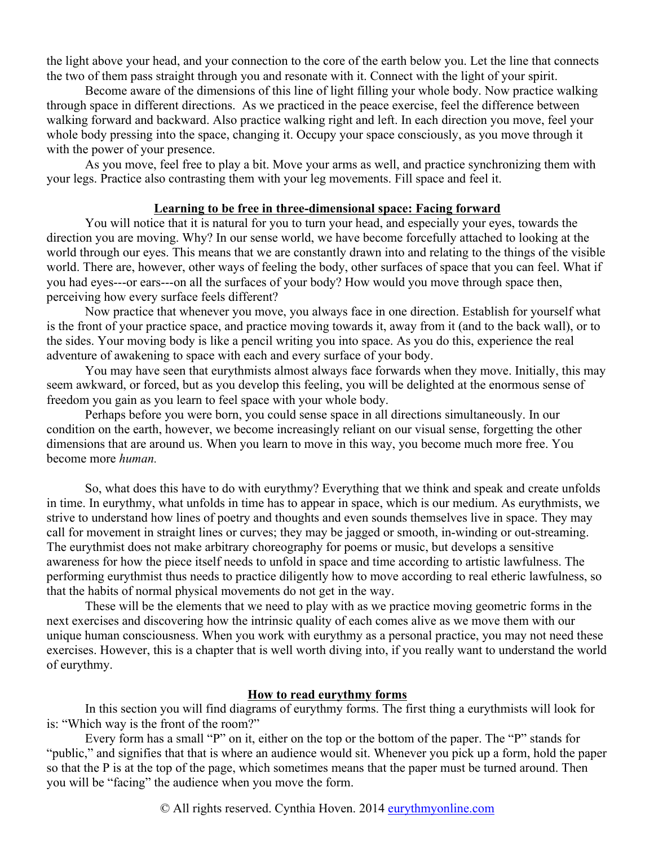the light above your head, and your connection to the core of the earth below you. Let the line that connects the two of them pass straight through you and resonate with it. Connect with the light of your spirit.

Become aware of the dimensions of this line of light filling your whole body. Now practice walking through space in different directions. As we practiced in the peace exercise, feel the difference between walking forward and backward. Also practice walking right and left. In each direction you move, feel your whole body pressing into the space, changing it. Occupy your space consciously, as you move through it with the power of your presence.

As you move, feel free to play a bit. Move your arms as well, and practice synchronizing them with your legs. Practice also contrasting them with your leg movements. Fill space and feel it.

### **Learning to be free in three-dimensional space: Facing forward**

You will notice that it is natural for you to turn your head, and especially your eyes, towards the direction you are moving. Why? In our sense world, we have become forcefully attached to looking at the world through our eyes. This means that we are constantly drawn into and relating to the things of the visible world. There are, however, other ways of feeling the body, other surfaces of space that you can feel. What if you had eyes---or ears---on all the surfaces of your body? How would you move through space then, perceiving how every surface feels different?

Now practice that whenever you move, you always face in one direction. Establish for yourself what is the front of your practice space, and practice moving towards it, away from it (and to the back wall), or to the sides. Your moving body is like a pencil writing you into space. As you do this, experience the real adventure of awakening to space with each and every surface of your body.

You may have seen that eurythmists almost always face forwards when they move. Initially, this may seem awkward, or forced, but as you develop this feeling, you will be delighted at the enormous sense of freedom you gain as you learn to feel space with your whole body.

Perhaps before you were born, you could sense space in all directions simultaneously. In our condition on the earth, however, we become increasingly reliant on our visual sense, forgetting the other dimensions that are around us. When you learn to move in this way, you become much more free. You become more *human.*

So, what does this have to do with eurythmy? Everything that we think and speak and create unfolds in time. In eurythmy, what unfolds in time has to appear in space, which is our medium. As eurythmists, we strive to understand how lines of poetry and thoughts and even sounds themselves live in space. They may call for movement in straight lines or curves; they may be jagged or smooth, in-winding or out-streaming. The eurythmist does not make arbitrary choreography for poems or music, but develops a sensitive awareness for how the piece itself needs to unfold in space and time according to artistic lawfulness. The performing eurythmist thus needs to practice diligently how to move according to real etheric lawfulness, so that the habits of normal physical movements do not get in the way.

These will be the elements that we need to play with as we practice moving geometric forms in the next exercises and discovering how the intrinsic quality of each comes alive as we move them with our unique human consciousness. When you work with eurythmy as a personal practice, you may not need these exercises. However, this is a chapter that is well worth diving into, if you really want to understand the world of eurythmy.

### **How to read eurythmy forms**

In this section you will find diagrams of eurythmy forms. The first thing a eurythmists will look for is: "Which way is the front of the room?"

Every form has a small "P" on it, either on the top or the bottom of the paper. The "P" stands for "public," and signifies that that is where an audience would sit. Whenever you pick up a form, hold the paper so that the P is at the top of the page, which sometimes means that the paper must be turned around. Then you will be "facing" the audience when you move the form.

© All rights reserved. Cynthia Hoven. 2014 eurythmyonline.com